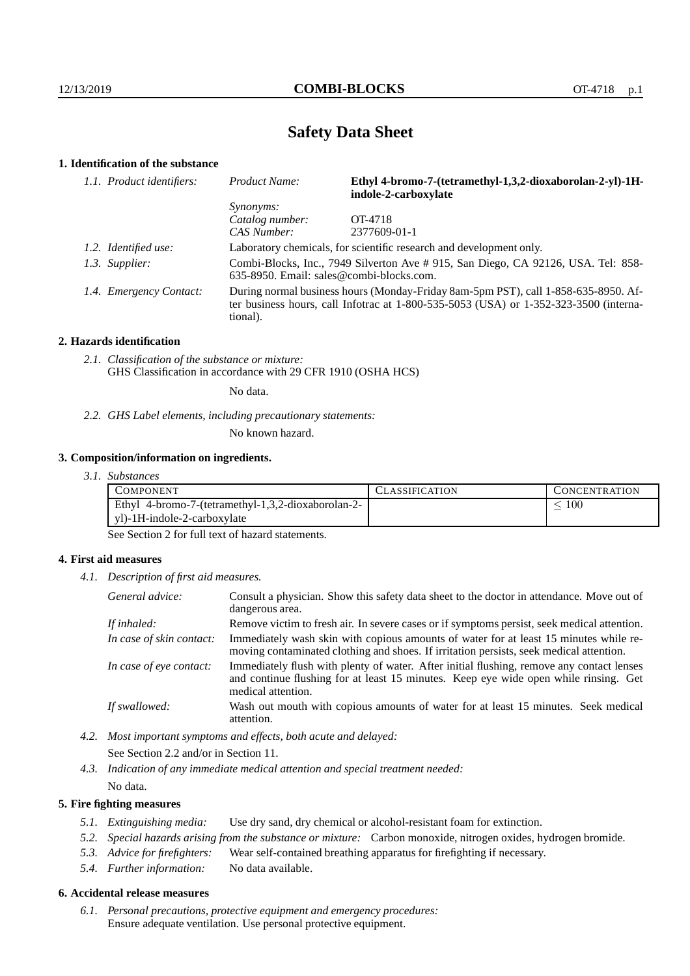# **Safety Data Sheet**

# **1. Identification of the substance**

| 1.1. Product identifiers: | Product Name:                                                                                                                                                                           | Ethyl 4-bromo-7-(tetramethyl-1,3,2-dioxaborolan-2-yl)-1H-<br>indole-2-carboxylate |  |
|---------------------------|-----------------------------------------------------------------------------------------------------------------------------------------------------------------------------------------|-----------------------------------------------------------------------------------|--|
|                           | <i>Synonyms:</i>                                                                                                                                                                        |                                                                                   |  |
|                           | Catalog number:                                                                                                                                                                         | OT-4718                                                                           |  |
|                           | CAS Number:                                                                                                                                                                             | 2377609-01-1                                                                      |  |
| 1.2. Identified use:      | Laboratory chemicals, for scientific research and development only.                                                                                                                     |                                                                                   |  |
| 1.3. Supplier:            | Combi-Blocks, Inc., 7949 Silverton Ave # 915, San Diego, CA 92126, USA. Tel: 858-<br>$635-8950$ . Email: sales@combi-blocks.com.                                                        |                                                                                   |  |
| 1.4. Emergency Contact:   | During normal business hours (Monday-Friday 8am-5pm PST), call 1-858-635-8950. Af-<br>ter business hours, call Infotrac at 1-800-535-5053 (USA) or 1-352-323-3500 (interna-<br>tional). |                                                                                   |  |

#### **2. Hazards identification**

*2.1. Classification of the substance or mixture:* GHS Classification in accordance with 29 CFR 1910 (OSHA HCS)

No data.

*2.2. GHS Label elements, including precautionary statements:*

No known hazard.

### **3. Composition/information on ingredients.**

*3.1. Substances*

| COMPONENT                                          | CLASSIFICATION | <b>CONCENTRATION</b> |
|----------------------------------------------------|----------------|----------------------|
| Ethyl 4-bromo-7-(tetramethyl-1,3,2-dioxaborolan-2- |                | 100                  |
| yl)-1H-indole-2-carboxylate                        |                |                      |

See Section 2 for full text of hazard statements.

### **4. First aid measures**

*4.1. Description of first aid measures.*

| General advice:          | Consult a physician. Show this safety data sheet to the doctor in attendance. Move out of<br>dangerous area.                                                                                            |
|--------------------------|---------------------------------------------------------------------------------------------------------------------------------------------------------------------------------------------------------|
| If inhaled:              | Remove victim to fresh air. In severe cases or if symptoms persist, seek medical attention.                                                                                                             |
| In case of skin contact: | Immediately wash skin with copious amounts of water for at least 15 minutes while re-<br>moving contaminated clothing and shoes. If irritation persists, seek medical attention.                        |
| In case of eye contact:  | Immediately flush with plenty of water. After initial flushing, remove any contact lenses<br>and continue flushing for at least 15 minutes. Keep eye wide open while rinsing. Get<br>medical attention. |
| If swallowed:            | Wash out mouth with copious amounts of water for at least 15 minutes. Seek medical<br>attention.                                                                                                        |

*4.2. Most important symptoms and effects, both acute and delayed:* See Section 2.2 and/or in Section 11.

*4.3. Indication of any immediate medical attention and special treatment needed:* No data.

### **5. Fire fighting measures**

- *5.1. Extinguishing media:* Use dry sand, dry chemical or alcohol-resistant foam for extinction.
- *5.2. Special hazards arising from the substance or mixture:* Carbon monoxide, nitrogen oxides, hydrogen bromide.
- *5.3. Advice for firefighters:* Wear self-contained breathing apparatus for firefighting if necessary.
- *5.4. Further information:* No data available.

# **6. Accidental release measures**

*6.1. Personal precautions, protective equipment and emergency procedures:* Ensure adequate ventilation. Use personal protective equipment.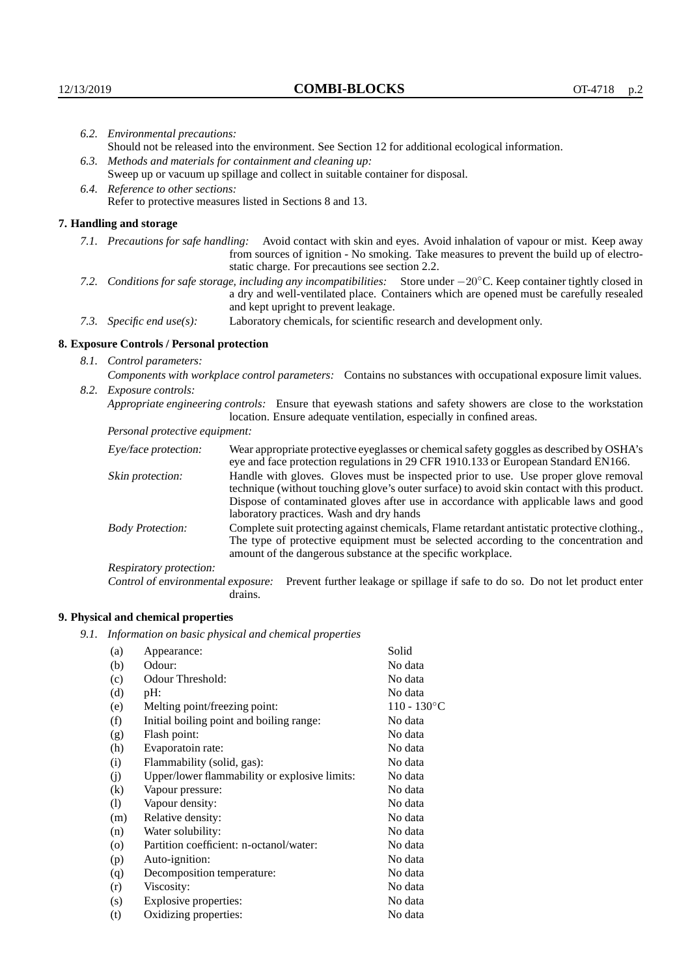Respiratory protection:

**9. Physical and chemical properties**

drains.

(a) Appearance: Solid (b) Odour: No data (c) Odour Threshold: No data (d) pH: No data (e) Melting point/freezing point:  $110 - 130°C$ (f) Initial boiling point and boiling range: No data (g) Flash point: No data (h) Evaporatoin rate: No data (i) Flammability (solid, gas): No data (j) Upper/lower flammability or explosive limits: No data (k) Vapour pressure: No data (l) Vapour density: No data (m) Relative density: No data (n) Water solubility: No data (o) Partition coefficient: n-octanol/water: No data (p) Auto-ignition: No data (q) Decomposition temperature: No data (r) Viscosity: No data (s) Explosive properties: No data (t) Oxidizing properties: No data

*9.1. Information on basic physical and chemical properties*

|                                                                                                                        | 6.2. Environmental precautions:                                                                                                                                                        |                                                                                                                                                                                                                                                                            |  |  |
|------------------------------------------------------------------------------------------------------------------------|----------------------------------------------------------------------------------------------------------------------------------------------------------------------------------------|----------------------------------------------------------------------------------------------------------------------------------------------------------------------------------------------------------------------------------------------------------------------------|--|--|
|                                                                                                                        |                                                                                                                                                                                        | Should not be released into the environment. See Section 12 for additional ecological information.                                                                                                                                                                         |  |  |
|                                                                                                                        | 6.3. Methods and materials for containment and cleaning up:                                                                                                                            |                                                                                                                                                                                                                                                                            |  |  |
|                                                                                                                        | Sweep up or vacuum up spillage and collect in suitable container for disposal.                                                                                                         |                                                                                                                                                                                                                                                                            |  |  |
|                                                                                                                        | 6.4. Reference to other sections:                                                                                                                                                      |                                                                                                                                                                                                                                                                            |  |  |
|                                                                                                                        | Refer to protective measures listed in Sections 8 and 13.                                                                                                                              |                                                                                                                                                                                                                                                                            |  |  |
|                                                                                                                        | 7. Handling and storage                                                                                                                                                                |                                                                                                                                                                                                                                                                            |  |  |
|                                                                                                                        |                                                                                                                                                                                        | 7.1. Precautions for safe handling: Avoid contact with skin and eyes. Avoid inhalation of vapour or mist. Keep away<br>from sources of ignition - No smoking. Take measures to prevent the build up of electro-<br>static charge. For precautions see section 2.2.         |  |  |
| 7.2. Conditions for safe storage, including any incompatibilities: Store under -20°C. Keep container tightly closed in |                                                                                                                                                                                        | a dry and well-ventilated place. Containers which are opened must be carefully resealed<br>and kept upright to prevent leakage.                                                                                                                                            |  |  |
|                                                                                                                        | 7.3. Specific end $use(s)$ :                                                                                                                                                           | Laboratory chemicals, for scientific research and development only.                                                                                                                                                                                                        |  |  |
|                                                                                                                        | 8. Exposure Controls / Personal protection                                                                                                                                             |                                                                                                                                                                                                                                                                            |  |  |
|                                                                                                                        | 8.1. Control parameters:                                                                                                                                                               |                                                                                                                                                                                                                                                                            |  |  |
|                                                                                                                        |                                                                                                                                                                                        | Components with workplace control parameters: Contains no substances with occupational exposure limit values.                                                                                                                                                              |  |  |
|                                                                                                                        | 8.2. Exposure controls:                                                                                                                                                                |                                                                                                                                                                                                                                                                            |  |  |
|                                                                                                                        | Appropriate engineering controls: Ensure that eyewash stations and safety showers are close to the workstation<br>location. Ensure adequate ventilation, especially in confined areas. |                                                                                                                                                                                                                                                                            |  |  |
|                                                                                                                        | Personal protective equipment:                                                                                                                                                         |                                                                                                                                                                                                                                                                            |  |  |
|                                                                                                                        | Eye/face protection:                                                                                                                                                                   | Wear appropriate protective eyeglasses or chemical safety goggles as described by OSHA's<br>eye and face protection regulations in 29 CFR 1910.133 or European Standard EN166.                                                                                             |  |  |
|                                                                                                                        | Skin protection:                                                                                                                                                                       | Handle with gloves. Gloves must be inspected prior to use. Use proper glove removal<br>technique (without touching glove's outer surface) to avoid skin contact with this product.<br>Dispose of contaminated gloves after use in accordance with applicable laws and good |  |  |

laboratory practices. Wash and dry hands

Body Protection: Complete suit protecting against chemicals, Flame retardant antistatic protective clothing.,

amount of the dangerous substance at the specific workplace.

Control of environmental exposure: Prevent further leakage or spillage if safe to do so. Do not let product enter

The type of protective equipment must be selected according to the concentration and